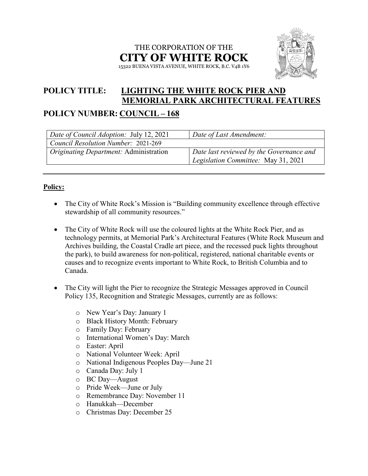### THE CORPORATION OF THE **CITY OF WHITE ROCK** 15322 BUENA VISTA AVENUE, WHITE ROCK, B.C. V4B 1Y6



# **POLICY TITLE: LIGHTING THE WHITE ROCK PIER AND MEMORIAL PARK ARCHITECTURAL FEATURES**

## **POLICY NUMBER: COUNCIL – 168**

| Date of Council Adoption: July 12, 2021       | Date of Last Amendment:                  |
|-----------------------------------------------|------------------------------------------|
| Council Resolution Number: 2021-269           |                                          |
| <i>Originating Department:</i> Administration | Date last reviewed by the Governance and |
|                                               | Legislation Committee: May 31, 2021      |

### **Policy:**

- The City of White Rock's Mission is "Building community excellence through effective stewardship of all community resources."
- The City of White Rock will use the coloured lights at the White Rock Pier, and as technology permits, at Memorial Park's Architectural Features (White Rock Museum and Archives building, the Coastal Cradle art piece, and the recessed puck lights throughout the park), to build awareness for non-political, registered, national charitable events or causes and to recognize events important to White Rock, to British Columbia and to Canada.
- The City will light the Pier to recognize the Strategic Messages approved in Council Policy 135, Recognition and Strategic Messages, currently are as follows:
	- o New Year's Day: January 1
	- o Black History Month: February
	- o Family Day: February
	- o International Women's Day: March
	- o Easter: April
	- o National Volunteer Week: April
	- o National Indigenous Peoples Day—June 21
	- o Canada Day: July 1
	- o BC Day—August
	- o Pride Week—June or July
	- o Remembrance Day: November 11
	- o Hanukkah—December
	- o Christmas Day: December 25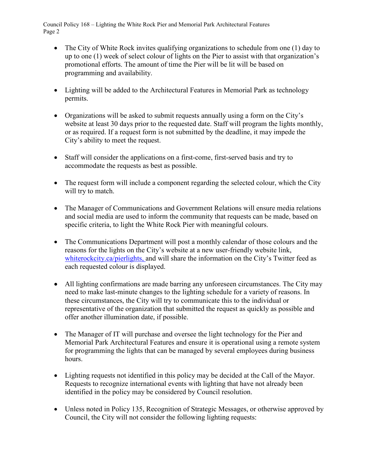Council Policy 168 – Lighting the White Rock Pier and Memorial Park Architectural Features Page 2

- The City of White Rock invites qualifying organizations to schedule from one (1) day to up to one (1) week of select colour of lights on the Pier to assist with that organization's promotional efforts. The amount of time the Pier will be lit will be based on programming and availability.
- Lighting will be added to the Architectural Features in Memorial Park as technology permits.
- Organizations will be asked to submit requests annually using a form on the City's website at least 30 days prior to the requested date. Staff will program the lights monthly, or as required. If a request form is not submitted by the deadline, it may impede the City's ability to meet the request.
- Staff will consider the applications on a first-come, first-served basis and try to accommodate the requests as best as possible.
- The request form will include a component regarding the selected colour, which the City will try to match.
- The Manager of Communications and Government Relations will ensure media relations and social media are used to inform the community that requests can be made, based on specific criteria, to light the White Rock Pier with meaningful colours.
- The Communications Department will post a monthly calendar of those colours and the reasons for the lights on the City's website at a new user-friendly website link, [whiterockcity.ca/](http://www.whiterockcity.ca/)pierlights, and will share the information on the City's Twitter feed as each requested colour is displayed.
- All lighting confirmations are made barring any unforeseen circumstances. The City may need to make last-minute changes to the lighting schedule for a variety of reasons. In these circumstances, the City will try to communicate this to the individual or representative of the organization that submitted the request as quickly as possible and offer another illumination date, if possible.
- The Manager of IT will purchase and oversee the light technology for the Pier and Memorial Park Architectural Features and ensure it is operational using a remote system for programming the lights that can be managed by several employees during business hours.
- Lighting requests not identified in this policy may be decided at the Call of the Mayor. Requests to recognize international events with lighting that have not already been identified in the policy may be considered by Council resolution.
- Unless noted in Policy 135, Recognition of Strategic Messages, or otherwise approved by Council, the City will not consider the following lighting requests: